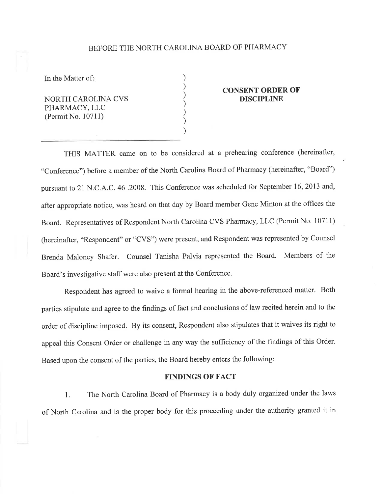# BEFORE THE NORTH CAROLINA BOARD OF PHARMACY

) ) ) ) ) ) )

In the Matter of:

NORTH CAROLINA CVS PHARMACY, LLC (Permit No. 10711)

### CONSENT ORDER OF DISCIPLINE

THIS MATTER came on to be considered at a prehearing conference (hereinafter, "Conference") before a member of the North Carolina Board of Pharmacy (hereinafter, "Board") pursuant to 21 N.C.A.C. 46.2008. This Conference was scheduled for September 16, 2013 and, after appropriate notice, was heard on that day by Board member Gene Minton at the offices the Board. Representatives of Respondent North Carolina CVS Pharmacy, LLC (Permit No. 10711) (hereinafter, "Respondent" or "CVS") were present, and Respondent was represented by Counsel Brenda Maloney Shafer. Counsel Tanisha Palvia represented the Board. Members of the Board's investigative staff were also present at the Conference.

Respondent has agreed to waive a formal hearing in the above-referenced matter. Both parties stipulate and agree to the findings of fact and conclusions of law recited herein and to the order of discipline imposed. By its consent, Respondent also stipulates that it waives its right to appeal this Consent Order or challenge in any way the sufficiency of the findings of this Order. Based upon the consent of the parties, the Board hereby enters the following:

#### FINDINGS OF FACT

1. The North Carolina Board of Pharmacy is a body duly organized under the laws of North Carolina and is the proper body for this proceeding under the authority granted it in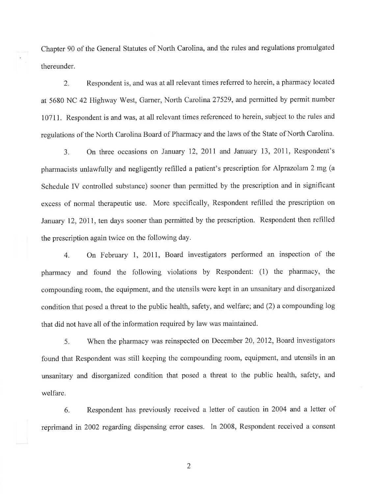Chapter 90 of the General Statutes of North Carolina, and the rules and regulations promulgated thereunder.

2. Respondent is, and was at all relevant times referred to herein, a pharmacy located at 5680 NC 42 Highway West, Garner, North Carolina 27529, and permitted by permit number 10711. Respondent is and was, at all relevant times referenced to herein, subject to the rules and regulations of the North Carolina Board of Pharmacy and the laws of the State of North Carolina.

3. On three occasions on January 12, 2011 and January 13, 2011, Respondent's pharmacists unlawfully and negligently refilled a patient's prescription for Alprazolam 2 mg (a Schedule IV controlled substance) sooner than permitted by the prescription and in significant excess of normal therapeutic use. More specifically, Respondent refilled the prescription on January 12, 2011, ten days sooner than permitted by the prescription. Respondent then refilled the prescription again twice on the following day.

4. On February 1, 2011, Board investigators performed an inspection of the pharmacy and found the following violations by Respondent: (1) the pharmacy, the compounding room, the equipment, and the utensils were kept in an unsanitary and disorganized condition that posed a threat to the public health, safety, and welfare; and (2) a compounding log that did not have all of the information required by law was maintained.

5. When the pharmacy was reinspected on December 20,2012, Board investigators found that Respondent was still keeping the compounding room, equipment, and utensils in an unsanitary and disorganized condition that posed a threat to the public health, safety, and welfare.

6. Respondent has previously received a letter of caution in 2004 and a letter of reprimand in 2002 regarding dispensing error cases. In 2008, Respondent received a consent

2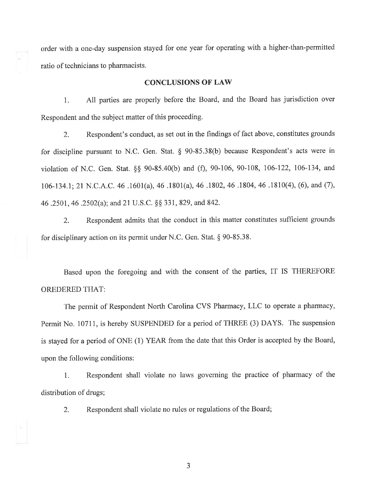order with a one-day suspension stayed for one year for operating with a higher-than-permitted ratio of technicians to pharmacists.

## CONCLUSIONS OF LAW

1. All parties are properly before the Board, and the Board has jurisdiction over Respondent and the subject matter of this proceeding.

2. Respondent's conduct, as set out in the findings of fact above, constitutes grounds for discipline pursuant to N.C. Gen. Stat. \$ 90-85.38(b) because Respondent's acts were in violation of N.C. Gen. Stat. \$\$ 90-S5.40(b) and (Ð, 90-106, 90-108, 106-122, 106-134, and 106-t34.1;21 N.C.A.C. 46 .1601(a),46.1801(a), 46 .1802,46 .1804,46 .1810(4), (6), and (7), 46 .2501, 46 .2502(a); and 21 U.S.C. §§ 331, 829, and 842.

2. Respondent admits that the conduct in this matter constitutes sufficient grounds for disciplinary action on its permit under N.C. Gen. Stat. \$ 90-85.38.

Based upon the foregoing and with the consent of the parties, IT IS THEREFORE OREDERED THAT:

The permit of Respondent North Carolina CVS Pharmacy, LLC to operate a pharmacy, Permit No. 10711, is hereby SUSPENDED for a period of THREE (3) DAYS. The suspension is stayed for a period of ONE (1) YEAR from the date that this Order is accepted by the Board, upon the following conditions:

L Respondent shall violate no laws governing the practice of pharmacy of the distribution of drugs;

2. Respondent shall violate no rules or regulations of the Board;

J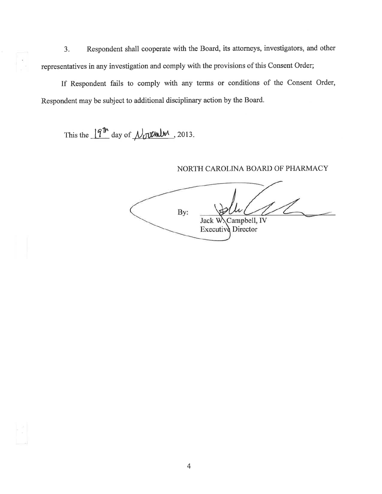Respondent shall cooperate with the Board, its attorneys, investigators, and other  $3.$ representatives in any investigation and comply with the provisions of this Consent Order;

If Respondent fails to comply with any terms or conditions of the Consent Order, Respondent may be subject to additional disciplinary action by the Board.

This the  $19^{\text{th}}$  day of  $\mu_0$  the 2013.

## NORTH CAROLINA BOARD OF PHARMACY

By: Campbell, IV Jack W Executive Director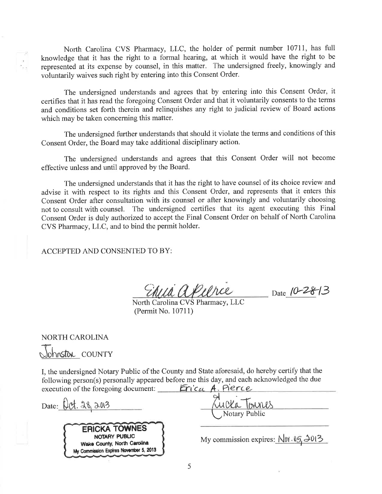North Carolina CVS Pharmacy, LLC, the holder of permit number 10711, has full knowledge that it has the right to a formal hearing, at which it would have the right to be represented at its expense by counsel, in this matter. The undersigned freely, knowingly and voluntarily waives such right by entering into this Consent Order.

The undersigned understands and agrees that by entering into this Consent Order, it certifies that it has read the foregoing Consent Order and that it voluntarily consents to the terms and conditions set forth therein and relinquishes any right to judicial review of Board actions which may be taken concerning this matter.

The undersigned further understands that should it violate the terms and conditions of this Consent Order, the Board may take additional disciplinary action.

The undersigned understands and agrees that this Consent Order will not become effective unless and until approved by the Board.

The undersigned understands that it has the right to have counsel of its choice review and advise it with respect to its rights and this Consent Order, and represents that it enters this Consent Order after consultation with its counsel or after knowingly and voluntarily choosing not to consult with counsel. The undersigned certifies that its agent executing this Final Consent Order is duly authorized to accept the Final Consent Order on behalf of North Carolina CVS Pharmacy, LLC, and to bind the permit holder.

ACCEPTED AND CONSENTED TO BY:

North Carolina CVS Pharmacy, LLC (Permit No. 10711)

 $\frac{1}{2}$  Date 10-28-13

**NORTH CAROLINA** Johnston COUNTY

I, the undersigned Notary Public of the County and State aforesaid, do hereby certify that the following person(s) personally appeared before me this day, and each acknowledged the due execution of the foregoing document: *Erica A. Pierce* 

Date: Oct. 28, 2013 **Notary Public ERICKA TOWNES** NOTARY PUBLIC My commission expires:  $Nvt \cdot 05, 2013$ Wake County, North Carolina My Commission Expires November 5, 2013